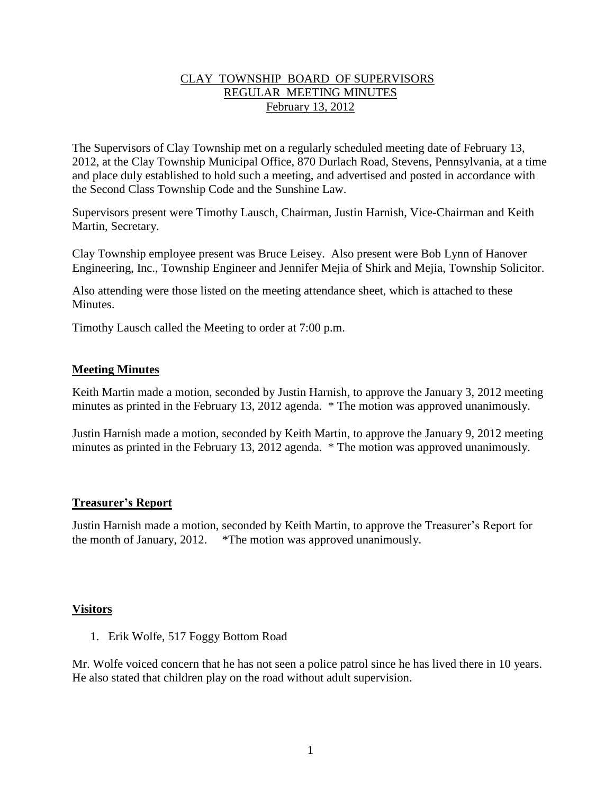### CLAY TOWNSHIP BOARD OF SUPERVISORS REGULAR MEETING MINUTES February 13, 2012

The Supervisors of Clay Township met on a regularly scheduled meeting date of February 13, 2012, at the Clay Township Municipal Office, 870 Durlach Road, Stevens, Pennsylvania, at a time and place duly established to hold such a meeting, and advertised and posted in accordance with the Second Class Township Code and the Sunshine Law.

Supervisors present were Timothy Lausch, Chairman, Justin Harnish, Vice-Chairman and Keith Martin, Secretary.

Clay Township employee present was Bruce Leisey. Also present were Bob Lynn of Hanover Engineering, Inc., Township Engineer and Jennifer Mejia of Shirk and Mejia, Township Solicitor.

Also attending were those listed on the meeting attendance sheet, which is attached to these Minutes.

Timothy Lausch called the Meeting to order at 7:00 p.m.

### **Meeting Minutes**

Keith Martin made a motion, seconded by Justin Harnish, to approve the January 3, 2012 meeting minutes as printed in the February 13, 2012 agenda. \* The motion was approved unanimously.

Justin Harnish made a motion, seconded by Keith Martin, to approve the January 9, 2012 meeting minutes as printed in the February 13, 2012 agenda. \* The motion was approved unanimously.

## **Treasurer's Report**

Justin Harnish made a motion, seconded by Keith Martin, to approve the Treasurer's Report for the month of January, 2012. \*The motion was approved unanimously.

### **Visitors**

1. Erik Wolfe, 517 Foggy Bottom Road

Mr. Wolfe voiced concern that he has not seen a police patrol since he has lived there in 10 years. He also stated that children play on the road without adult supervision.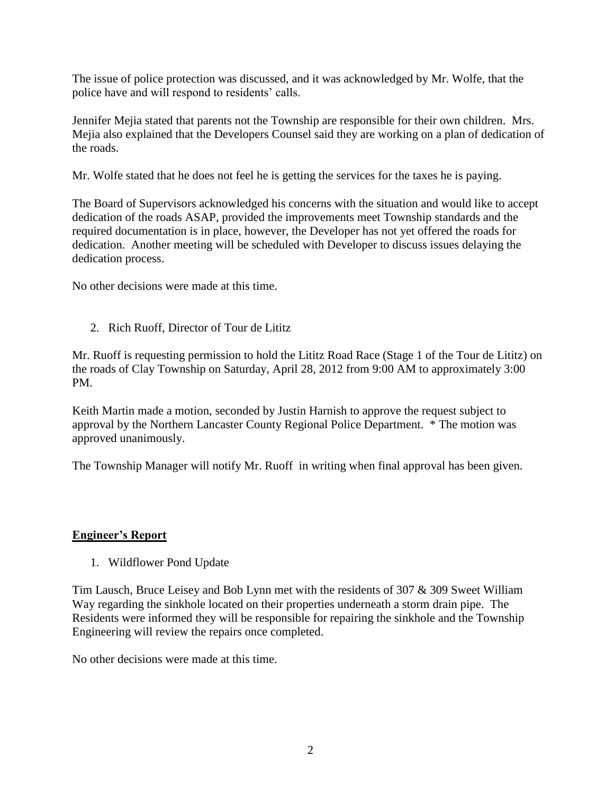The issue of police protection was discussed, and it was acknowledged by Mr. Wolfe, that the police have and will respond to residents' calls.

Jennifer Mejia stated that parents not the Township are responsible for their own children. Mrs. Mejia also explained that the Developers Counsel said they are working on a plan of dedication of the roads.

Mr. Wolfe stated that he does not feel he is getting the services for the taxes he is paying.

The Board of Supervisors acknowledged his concerns with the situation and would like to accept dedication of the roads ASAP, provided the improvements meet Township standards and the required documentation is in place, however, the Developer has not yet offered the roads for dedication. Another meeting will be scheduled with Developer to discuss issues delaying the dedication process.

No other decisions were made at this time.

2. Rich Ruoff, Director of Tour de Lititz

Mr. Ruoff is requesting permission to hold the Lititz Road Race (Stage 1 of the Tour de Lititz) on the roads of Clay Township on Saturday, April 28, 2012 from 9:00 AM to approximately 3:00 PM.

Keith Martin made a motion, seconded by Justin Harnish to approve the request subject to approval by the Northern Lancaster County Regional Police Department. \* The motion was approved unanimously.

The Township Manager will notify Mr. Ruoff in writing when final approval has been given.

## **Engineer's Report**

1. Wildflower Pond Update

Tim Lausch, Bruce Leisey and Bob Lynn met with the residents of 307 & 309 Sweet William Way regarding the sinkhole located on their properties underneath a storm drain pipe. The Residents were informed they will be responsible for repairing the sinkhole and the Township Engineering will review the repairs once completed.

No other decisions were made at this time.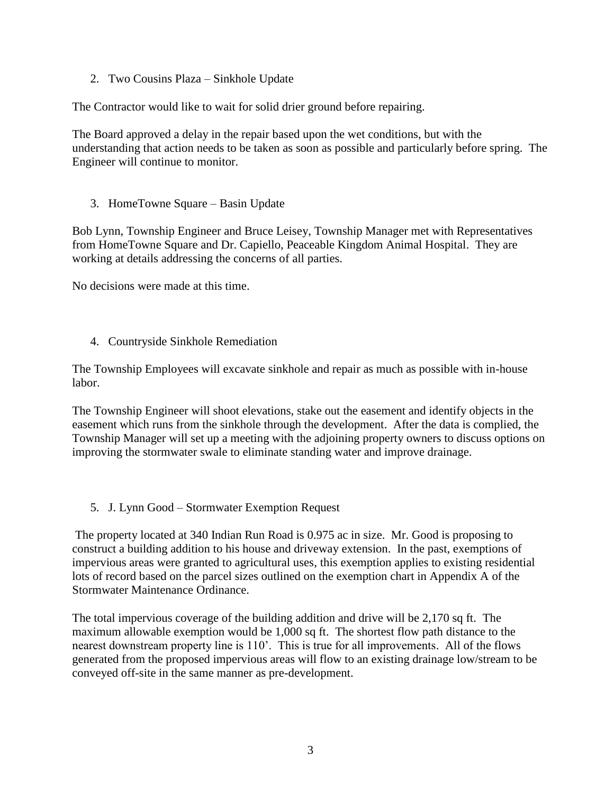2. Two Cousins Plaza – Sinkhole Update

The Contractor would like to wait for solid drier ground before repairing.

The Board approved a delay in the repair based upon the wet conditions, but with the understanding that action needs to be taken as soon as possible and particularly before spring. The Engineer will continue to monitor.

3. HomeTowne Square – Basin Update

Bob Lynn, Township Engineer and Bruce Leisey, Township Manager met with Representatives from HomeTowne Square and Dr. Capiello, Peaceable Kingdom Animal Hospital. They are working at details addressing the concerns of all parties.

No decisions were made at this time.

4. Countryside Sinkhole Remediation

The Township Employees will excavate sinkhole and repair as much as possible with in-house labor.

The Township Engineer will shoot elevations, stake out the easement and identify objects in the easement which runs from the sinkhole through the development. After the data is complied, the Township Manager will set up a meeting with the adjoining property owners to discuss options on improving the stormwater swale to eliminate standing water and improve drainage.

5. J. Lynn Good – Stormwater Exemption Request

The property located at 340 Indian Run Road is 0.975 ac in size. Mr. Good is proposing to construct a building addition to his house and driveway extension. In the past, exemptions of impervious areas were granted to agricultural uses, this exemption applies to existing residential lots of record based on the parcel sizes outlined on the exemption chart in Appendix A of the Stormwater Maintenance Ordinance.

The total impervious coverage of the building addition and drive will be 2,170 sq ft. The maximum allowable exemption would be 1,000 sq ft. The shortest flow path distance to the nearest downstream property line is 110'. This is true for all improvements. All of the flows generated from the proposed impervious areas will flow to an existing drainage low/stream to be conveyed off-site in the same manner as pre-development.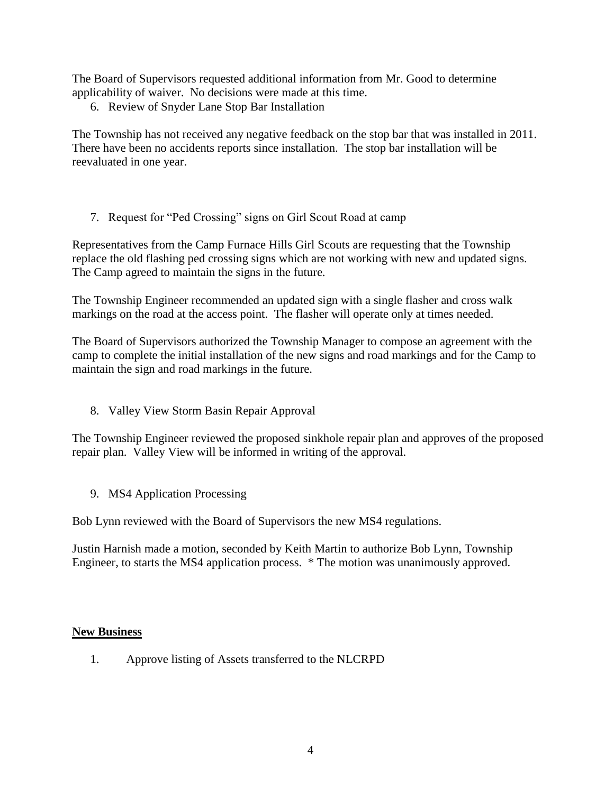The Board of Supervisors requested additional information from Mr. Good to determine applicability of waiver. No decisions were made at this time.

6. Review of Snyder Lane Stop Bar Installation

The Township has not received any negative feedback on the stop bar that was installed in 2011. There have been no accidents reports since installation. The stop bar installation will be reevaluated in one year.

7. Request for "Ped Crossing" signs on Girl Scout Road at camp

Representatives from the Camp Furnace Hills Girl Scouts are requesting that the Township replace the old flashing ped crossing signs which are not working with new and updated signs. The Camp agreed to maintain the signs in the future.

The Township Engineer recommended an updated sign with a single flasher and cross walk markings on the road at the access point. The flasher will operate only at times needed.

The Board of Supervisors authorized the Township Manager to compose an agreement with the camp to complete the initial installation of the new signs and road markings and for the Camp to maintain the sign and road markings in the future.

8. Valley View Storm Basin Repair Approval

The Township Engineer reviewed the proposed sinkhole repair plan and approves of the proposed repair plan. Valley View will be informed in writing of the approval.

9. MS4 Application Processing

Bob Lynn reviewed with the Board of Supervisors the new MS4 regulations.

Justin Harnish made a motion, seconded by Keith Martin to authorize Bob Lynn, Township Engineer, to starts the MS4 application process. \* The motion was unanimously approved.

### **New Business**

1. Approve listing of Assets transferred to the NLCRPD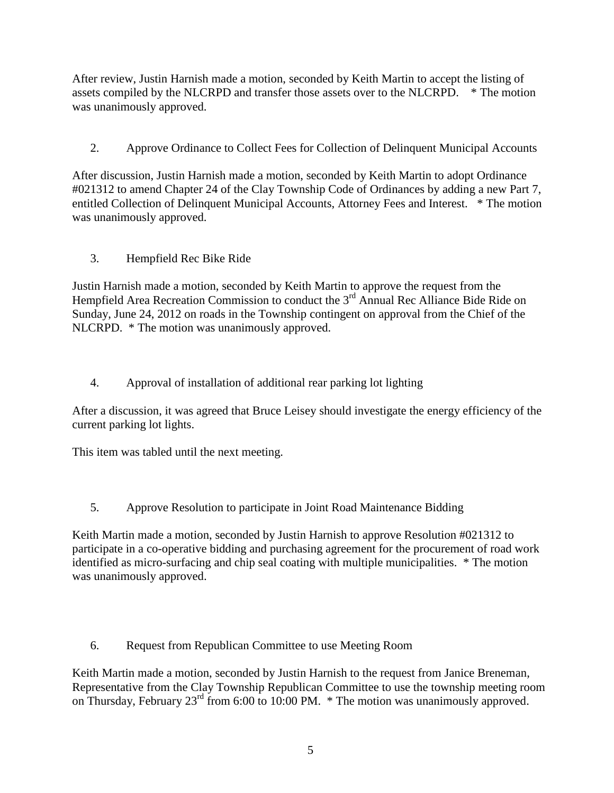After review, Justin Harnish made a motion, seconded by Keith Martin to accept the listing of assets compiled by the NLCRPD and transfer those assets over to the NLCRPD. \* The motion was unanimously approved.

2. Approve Ordinance to Collect Fees for Collection of Delinquent Municipal Accounts

After discussion, Justin Harnish made a motion, seconded by Keith Martin to adopt Ordinance #021312 to amend Chapter 24 of the Clay Township Code of Ordinances by adding a new Part 7, entitled Collection of Delinquent Municipal Accounts, Attorney Fees and Interest. \* The motion was unanimously approved.

3. Hempfield Rec Bike Ride

Justin Harnish made a motion, seconded by Keith Martin to approve the request from the Hempfield Area Recreation Commission to conduct the  $3<sup>rd</sup>$  Annual Rec Alliance Bide Ride on Sunday, June 24, 2012 on roads in the Township contingent on approval from the Chief of the NLCRPD. \* The motion was unanimously approved.

# 4. Approval of installation of additional rear parking lot lighting

After a discussion, it was agreed that Bruce Leisey should investigate the energy efficiency of the current parking lot lights.

This item was tabled until the next meeting.

5. Approve Resolution to participate in Joint Road Maintenance Bidding

Keith Martin made a motion, seconded by Justin Harnish to approve Resolution #021312 to participate in a co-operative bidding and purchasing agreement for the procurement of road work identified as micro-surfacing and chip seal coating with multiple municipalities. \* The motion was unanimously approved.

6. Request from Republican Committee to use Meeting Room

Keith Martin made a motion, seconded by Justin Harnish to the request from Janice Breneman, Representative from the Clay Township Republican Committee to use the township meeting room on Thursday, February 23<sup>rd</sup> from 6:00 to 10:00 PM. \* The motion was unanimously approved.